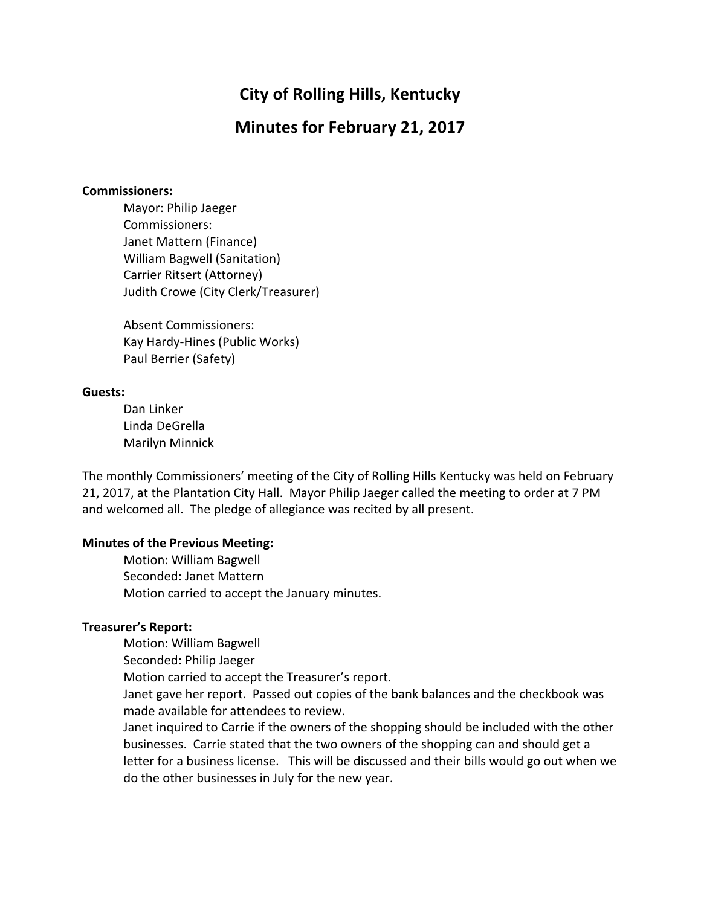# **City of Rolling Hills, Kentucky**

## **Minutes for February 21, 2017**

#### **Commissioners:**

Mayor: Philip Jaeger Commissioners: Janet Mattern (Finance) William Bagwell (Sanitation) Carrier Ritsert (Attorney) Judith Crowe (City Clerk/Treasurer)

Absent Commissioners: Kay Hardy-Hines (Public Works) Paul Berrier (Safety)

#### **Guests:**

Dan Linker Linda DeGrella Marilyn Minnick

The monthly Commissioners' meeting of the City of Rolling Hills Kentucky was held on February 21, 2017, at the Plantation City Hall. Mayor Philip Jaeger called the meeting to order at 7 PM and welcomed all. The pledge of allegiance was recited by all present.

#### **Minutes of the Previous Meeting:**

Motion: William Bagwell Seconded: Janet Mattern Motion carried to accept the January minutes.

#### **Treasurer's Report:**

Motion: William Bagwell

Seconded: Philip Jaeger

Motion carried to accept the Treasurer's report.

Janet gave her report. Passed out copies of the bank balances and the checkbook was made available for attendees to review.

Janet inquired to Carrie if the owners of the shopping should be included with the other businesses. Carrie stated that the two owners of the shopping can and should get a letter for a business license. This will be discussed and their bills would go out when we do the other businesses in July for the new year.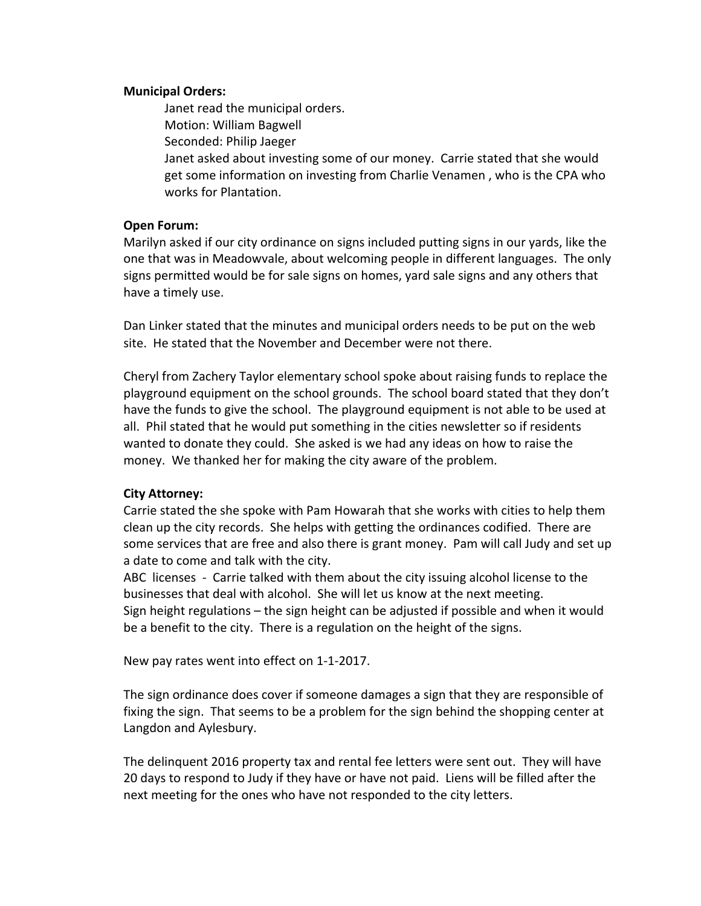#### **Municipal Orders:**

Janet read the municipal orders. Motion: William Bagwell Seconded: Philip Jaeger Janet asked about investing some of our money. Carrie stated that she would get some information on investing from Charlie Venamen, who is the CPA who works for Plantation.

## **Open Forum:**

Marilyn asked if our city ordinance on signs included putting signs in our yards, like the one that was in Meadowvale, about welcoming people in different languages. The only signs permitted would be for sale signs on homes, yard sale signs and any others that have a timely use.

Dan Linker stated that the minutes and municipal orders needs to be put on the web site. He stated that the November and December were not there.

Cheryl from Zachery Taylor elementary school spoke about raising funds to replace the playground equipment on the school grounds. The school board stated that they don't have the funds to give the school. The playground equipment is not able to be used at all. Phil stated that he would put something in the cities newsletter so if residents wanted to donate they could. She asked is we had any ideas on how to raise the money. We thanked her for making the city aware of the problem.

## **City Attorney:**

Carrie stated the she spoke with Pam Howarah that she works with cities to help them clean up the city records. She helps with getting the ordinances codified. There are some services that are free and also there is grant money. Pam will call Judy and set up a date to come and talk with the city.

ABC licenses - Carrie talked with them about the city issuing alcohol license to the businesses that deal with alcohol. She will let us know at the next meeting. Sign height regulations  $-$  the sign height can be adjusted if possible and when it would be a benefit to the city. There is a regulation on the height of the signs.

New pay rates went into effect on 1-1-2017.

The sign ordinance does cover if someone damages a sign that they are responsible of fixing the sign. That seems to be a problem for the sign behind the shopping center at Langdon and Aylesbury.

The delinquent 2016 property tax and rental fee letters were sent out. They will have 20 days to respond to Judy if they have or have not paid. Liens will be filled after the next meeting for the ones who have not responded to the city letters.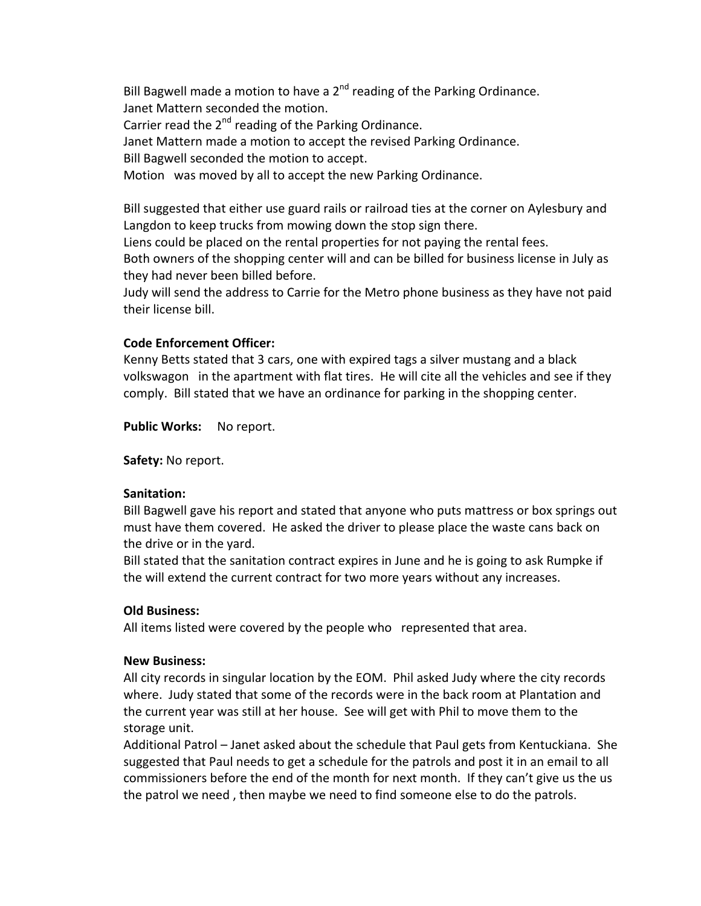Bill Bagwell made a motion to have a  $2<sup>nd</sup>$  reading of the Parking Ordinance. Janet Mattern seconded the motion. Carrier read the  $2^{nd}$  reading of the Parking Ordinance. Janet Mattern made a motion to accept the revised Parking Ordinance. Bill Bagwell seconded the motion to accept. Motion was moved by all to accept the new Parking Ordinance.

Bill suggested that either use guard rails or railroad ties at the corner on Aylesbury and Langdon to keep trucks from mowing down the stop sign there.

Liens could be placed on the rental properties for not paying the rental fees.

Both owners of the shopping center will and can be billed for business license in July as they had never been billed before.

Judy will send the address to Carrie for the Metro phone business as they have not paid their license bill.

## **Code Enforcement Officer:**

Kenny Betts stated that 3 cars, one with expired tags a silver mustang and a black volkswagon in the apartment with flat tires. He will cite all the vehicles and see if they comply. Bill stated that we have an ordinance for parking in the shopping center.

Public Works: No report.

Safety: No report.

## **Sanitation:**

Bill Bagwell gave his report and stated that anyone who puts mattress or box springs out must have them covered. He asked the driver to please place the waste cans back on the drive or in the yard.

Bill stated that the sanitation contract expires in June and he is going to ask Rumpke if the will extend the current contract for two more years without any increases.

## **Old Business:**

All items listed were covered by the people who represented that area.

## **New Business:**

All city records in singular location by the EOM. Phil asked Judy where the city records where. Judy stated that some of the records were in the back room at Plantation and the current year was still at her house. See will get with Phil to move them to the storage unit.

Additional Patrol – Janet asked about the schedule that Paul gets from Kentuckiana. She suggested that Paul needs to get a schedule for the patrols and post it in an email to all commissioners before the end of the month for next month. If they can't give us the us the patrol we need, then maybe we need to find someone else to do the patrols.